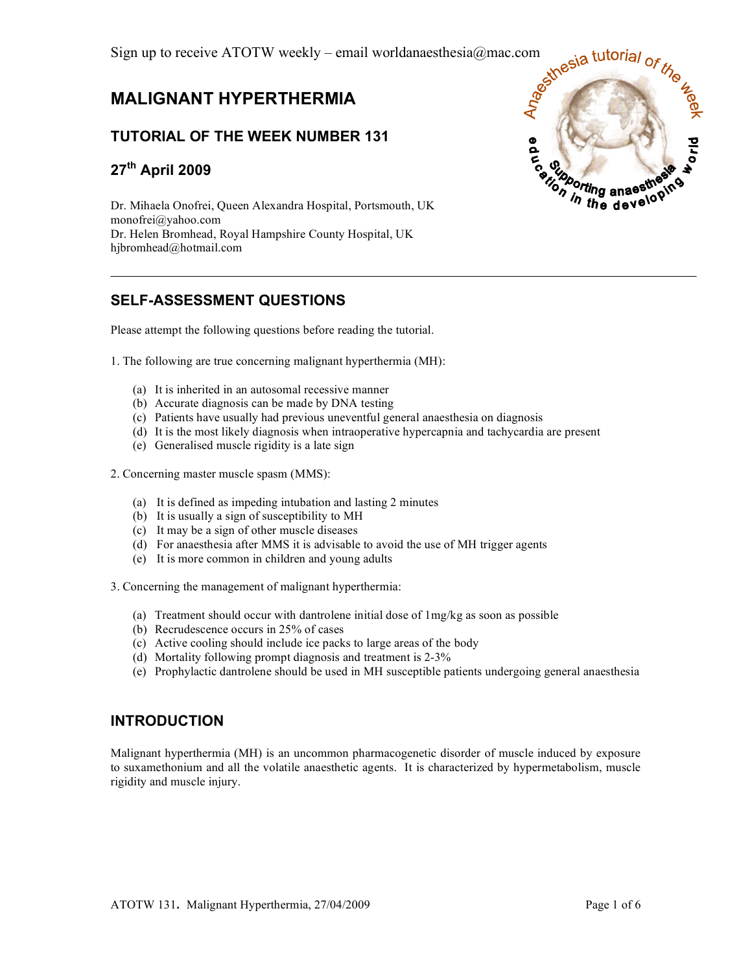# **MALIGNANT HYPERTHERMIA**

### **TUTORIAL OF THE WEEK NUMBER 131**

# **27th April 2009**

Dr. Mihaela Onofrei, Queen Alexandra Hospital, Portsmouth, UK monofrei@yahoo.com Dr. Helen Bromhead, Royal Hampshire County Hospital, UK hjbromhead@hotmail.com

### **SELF-ASSESSMENT QUESTIONS**

Please attempt the following questions before reading the tutorial.

- 1. The following are true concerning malignant hyperthermia (MH):
	- (a) It is inherited in an autosomal recessive manner
	- (b) Accurate diagnosis can be made by DNA testing
	- (c) Patients have usually had previous uneventful general anaesthesia on diagnosis
	- (d) It is the most likely diagnosis when intraoperative hypercapnia and tachycardia are present
	- (e) Generalised muscle rigidity is a late sign
- 2. Concerning master muscle spasm (MMS):
	- (a) It is defined as impeding intubation and lasting 2 minutes
	- (b) It is usually a sign of susceptibility to MH
	- (c) It may be a sign of other muscle diseases
	- (d) For anaesthesia after MMS it is advisable to avoid the use of MH trigger agents
	- (e) It is more common in children and young adults
- 3. Concerning the management of malignant hyperthermia:
	- (a) Treatment should occur with dantrolene initial dose of 1mg/kg as soon as possible
	- (b) Recrudescence occurs in 25% of cases
	- (c) Active cooling should include ice packs to large areas of the body
	- (d) Mortality following prompt diagnosis and treatment is 2-3%
	- (e) Prophylactic dantrolene should be used in MH susceptible patients undergoing general anaesthesia

### **INTRODUCTION**

Malignant hyperthermia (MH) is an uncommon pharmacogenetic disorder of muscle induced by exposure to suxamethonium and all the volatile anaesthetic agents. It is characterized by hypermetabolism, muscle rigidity and muscle injury.

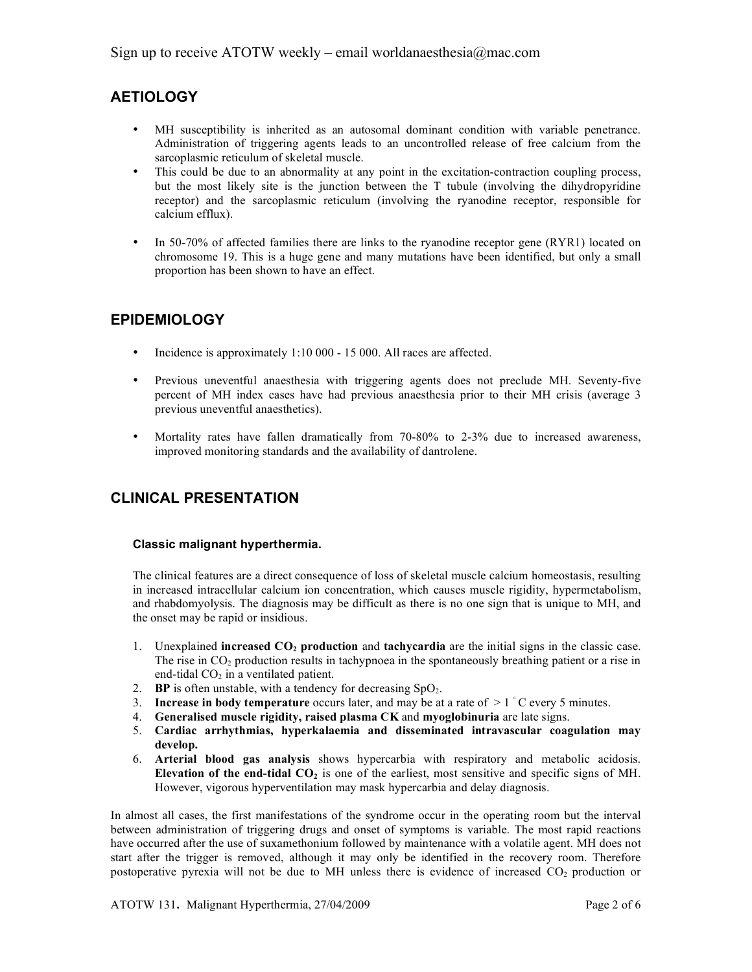# **AETIOLOGY**

- MH susceptibility is inherited as an autosomal dominant condition with variable penetrance. Administration of triggering agents leads to an uncontrolled release of free calcium from the sarcoplasmic reticulum of skeletal muscle.
- This could be due to an abnormality at any point in the excitation-contraction coupling process, but the most likely site is the junction between the T tubule (involving the dihydropyridine receptor) and the sarcoplasmic reticulum (involving the ryanodine receptor, responsible for calcium efflux).
- In 50-70% of affected families there are links to the ryanodine receptor gene (RYR1) located on chromosome 19. This is a huge gene and many mutations have been identified, but only a small proportion has been shown to have an effect.

### **EPIDEMIOLOGY**

- Incidence is approximately 1:10 000 15 000. All races are affected.
- Previous uneventful anaesthesia with triggering agents does not preclude MH. Seventy-five percent of MH index cases have had previous anaesthesia prior to their MH crisis (average 3 previous uneventful anaesthetics).
- Mortality rates have fallen dramatically from 70-80% to 2-3% due to increased awareness, improved monitoring standards and the availability of dantrolene.

### **CLINICAL PRESENTATION**

### **Classic malignant hyperthermia.**

The clinical features are a direct consequence of loss of skeletal muscle calcium homeostasis, resulting in increased intracellular calcium ion concentration, which causes muscle rigidity, hypermetabolism, and rhabdomyolysis. The diagnosis may be difficult as there is no one sign that is unique to MH, and the onset may be rapid or insidious.

- 1. Unexplained **increased CO2 production** and **tachycardia** are the initial signs in the classic case. The rise in  $CO<sub>2</sub>$  production results in tachypnoea in the spontaneously breathing patient or a rise in end-tidal CO<sub>2</sub> in a ventilated patient.
- 2. **BP** is often unstable, with a tendency for decreasing  $SpO<sub>2</sub>$ .
- 3. **Increase in body temperature** occurs later, and may be at a rate of > 1 C every 5 minutes.
- 4. **Generalised muscle rigidity, raised plasma CK** and **myoglobinuria** are late signs.
- 5. **Cardiac arrhythmias, hyperkalaemia and disseminated intravascular coagulation may develop.**
- 6. **Arterial blood gas analysis** shows hypercarbia with respiratory and metabolic acidosis. **Elevation of the end-tidal**  $CO<sub>2</sub>$  is one of the earliest, most sensitive and specific signs of MH. However, vigorous hyperventilation may mask hypercarbia and delay diagnosis.

In almost all cases, the first manifestations of the syndrome occur in the operating room but the interval between administration of triggering drugs and onset of symptoms is variable. The most rapid reactions have occurred after the use of suxamethonium followed by maintenance with a volatile agent. MH does not start after the trigger is removed, although it may only be identified in the recovery room. Therefore postoperative pyrexia will not be due to MH unless there is evidence of increased CO<sub>2</sub> production or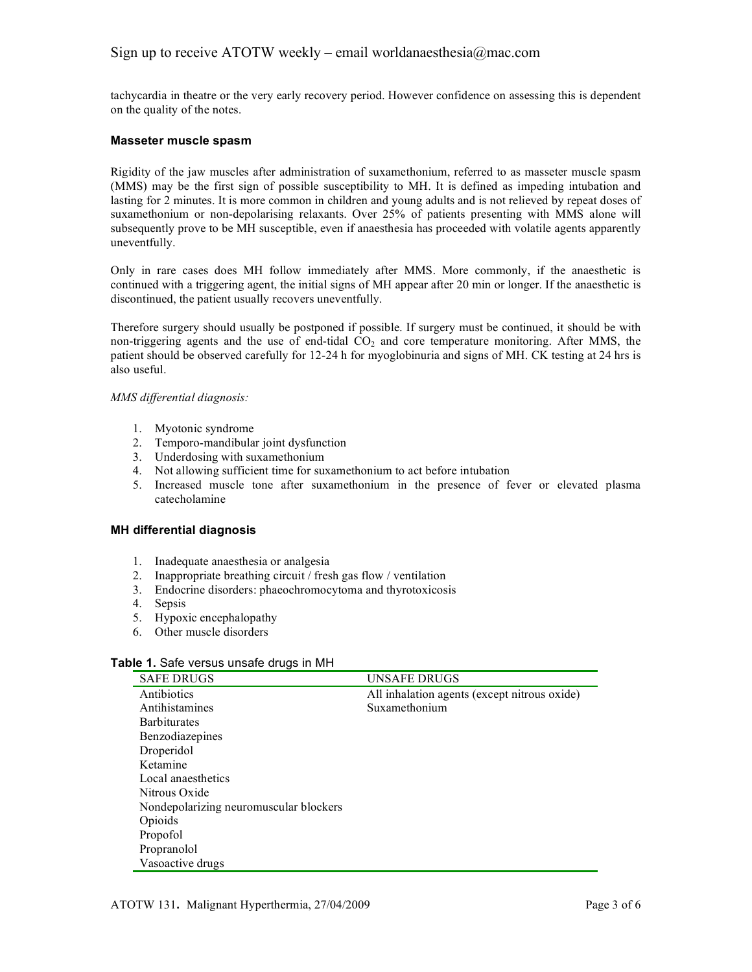### Sign up to receive ATOTW weekly – email worldanaesthesia@mac.com

tachycardia in theatre or the very early recovery period. However confidence on assessing this is dependent on the quality of the notes.

#### **Masseter muscle spasm**

Rigidity of the jaw muscles after administration of suxamethonium, referred to as masseter muscle spasm (MMS) may be the first sign of possible susceptibility to MH. It is defined as impeding intubation and lasting for 2 minutes. It is more common in children and young adults and is not relieved by repeat doses of suxamethonium or non-depolarising relaxants. Over 25% of patients presenting with MMS alone will subsequently prove to be MH susceptible, even if anaesthesia has proceeded with volatile agents apparently uneventfully.

Only in rare cases does MH follow immediately after MMS. More commonly, if the anaesthetic is continued with a triggering agent, the initial signs of MH appear after 20 min or longer. If the anaesthetic is discontinued, the patient usually recovers uneventfully.

Therefore surgery should usually be postponed if possible. If surgery must be continued, it should be with non-triggering agents and the use of end-tidal  $CO<sub>2</sub>$  and core temperature monitoring. After MMS, the patient should be observed carefully for 12-24 h for myoglobinuria and signs of MH. CK testing at 24 hrs is also useful.

*MMS differential diagnosis:*

- 1. Myotonic syndrome
- 2. Temporo-mandibular joint dysfunction
- 3. Underdosing with suxamethonium
- 4. Not allowing sufficient time for suxamethonium to act before intubation
- 5. Increased muscle tone after suxamethonium in the presence of fever or elevated plasma catecholamine

#### **MH differential diagnosis**

- 1. Inadequate anaesthesia or analgesia
- 2. Inappropriate breathing circuit / fresh gas flow / ventilation
- 3. Endocrine disorders: phaeochromocytoma and thyrotoxicosis
- 4. Sepsis
- 5. Hypoxic encephalopathy
- 6. Other muscle disorders

#### **Table 1.** Safe versus unsafe drugs in MH

| <b>SAFE DRUGS</b>                      | UNSAFE DRUGS                                 |
|----------------------------------------|----------------------------------------------|
| Antibiotics                            | All inhalation agents (except nitrous oxide) |
| Antihistamines                         | Suxamethonium                                |
| <b>Barbiturates</b>                    |                                              |
| Benzodiazepines                        |                                              |
| Droperidol                             |                                              |
| Ketamine                               |                                              |
| Local anaesthetics                     |                                              |
| Nitrous Oxide                          |                                              |
| Nondepolarizing neuromuscular blockers |                                              |
| Opioids                                |                                              |
| Propofol                               |                                              |
| Propranolol                            |                                              |
| Vasoactive drugs                       |                                              |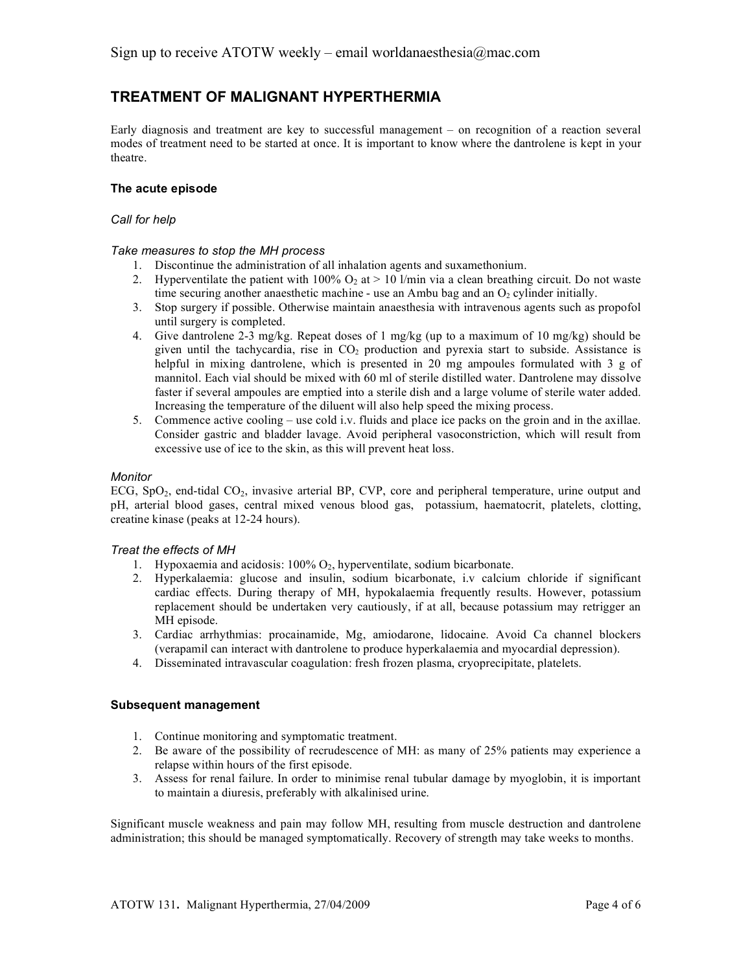### **TREATMENT OF MALIGNANT HYPERTHERMIA**

Early diagnosis and treatment are key to successful management – on recognition of a reaction several modes of treatment need to be started at once. It is important to know where the dantrolene is kept in your theatre.

#### **The acute episode**

#### *Call for help*

#### *Take measures to stop the MH process*

- 1. Discontinue the administration of all inhalation agents and suxamethonium.
- 2. Hyperventilate the patient with 100%  $O_2$  at > 10 l/min via a clean breathing circuit. Do not waste time securing another anaesthetic machine - use an Ambu bag and an  $O_2$  cylinder initially.
- 3. Stop surgery if possible. Otherwise maintain anaesthesia with intravenous agents such as propofol until surgery is completed.
- 4. Give dantrolene 2-3 mg/kg. Repeat doses of 1 mg/kg (up to a maximum of 10 mg/kg) should be given until the tachycardia, rise in  $CO<sub>2</sub>$  production and pyrexia start to subside. Assistance is helpful in mixing dantrolene, which is presented in 20 mg ampoules formulated with 3 g of mannitol. Each vial should be mixed with 60 ml of sterile distilled water. Dantrolene may dissolve faster if several ampoules are emptied into a sterile dish and a large volume of sterile water added. Increasing the temperature of the diluent will also help speed the mixing process.
- 5. Commence active cooling use cold i.v. fluids and place ice packs on the groin and in the axillae. Consider gastric and bladder lavage. Avoid peripheral vasoconstriction, which will result from excessive use of ice to the skin, as this will prevent heat loss.

#### *Monitor*

ECG, SpO<sub>2</sub>, end-tidal CO<sub>2</sub>, invasive arterial BP, CVP, core and peripheral temperature, urine output and pH, arterial blood gases, central mixed venous blood gas, potassium, haematocrit, platelets, clotting, creatine kinase (peaks at 12-24 hours).

#### *Treat the effects of MH*

- 1. Hypoxaemia and acidosis:  $100\%$  O<sub>2</sub>, hyperventilate, sodium bicarbonate.
- 2. Hyperkalaemia: glucose and insulin, sodium bicarbonate, i.v calcium chloride if significant cardiac effects. During therapy of MH, hypokalaemia frequently results. However, potassium replacement should be undertaken very cautiously, if at all, because potassium may retrigger an MH episode.
- 3. Cardiac arrhythmias: procainamide, Mg, amiodarone, lidocaine. Avoid Ca channel blockers (verapamil can interact with dantrolene to produce hyperkalaemia and myocardial depression).
- 4. Disseminated intravascular coagulation: fresh frozen plasma, cryoprecipitate, platelets.

#### **Subsequent management**

- 1. Continue monitoring and symptomatic treatment.
- 2. Be aware of the possibility of recrudescence of MH: as many of 25% patients may experience a relapse within hours of the first episode.
- 3. Assess for renal failure. In order to minimise renal tubular damage by myoglobin, it is important to maintain a diuresis, preferably with alkalinised urine.

Significant muscle weakness and pain may follow MH, resulting from muscle destruction and dantrolene administration; this should be managed symptomatically. Recovery of strength may take weeks to months.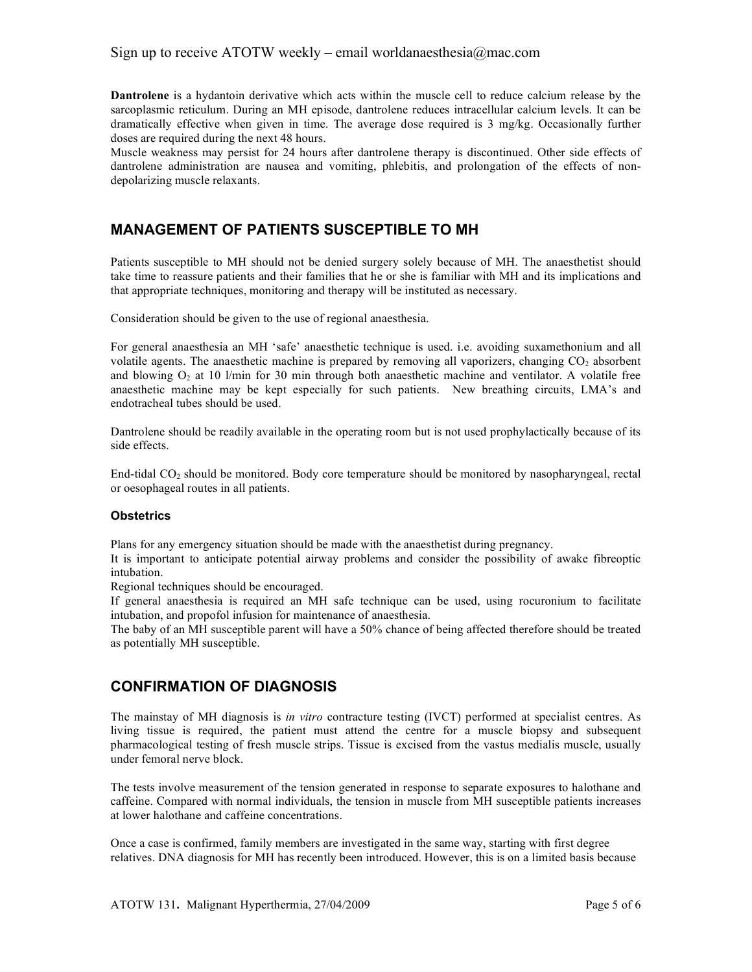**Dantrolene** is a hydantoin derivative which acts within the muscle cell to reduce calcium release by the sarcoplasmic reticulum. During an MH episode, dantrolene reduces intracellular calcium levels. It can be dramatically effective when given in time. The average dose required is 3 mg/kg. Occasionally further doses are required during the next 48 hours.

Muscle weakness may persist for 24 hours after dantrolene therapy is discontinued. Other side effects of dantrolene administration are nausea and vomiting, phlebitis, and prolongation of the effects of nondepolarizing muscle relaxants.

### **MANAGEMENT OF PATIENTS SUSCEPTIBLE TO MH**

Patients susceptible to MH should not be denied surgery solely because of MH. The anaesthetist should take time to reassure patients and their families that he or she is familiar with MH and its implications and that appropriate techniques, monitoring and therapy will be instituted as necessary.

Consideration should be given to the use of regional anaesthesia.

For general anaesthesia an MH 'safe' anaesthetic technique is used. i.e. avoiding suxamethonium and all volatile agents. The anaesthetic machine is prepared by removing all vaporizers, changing  $CO<sub>2</sub>$  absorbent and blowing  $O_2$  at 10 l/min for 30 min through both anaesthetic machine and ventilator. A volatile free anaesthetic machine may be kept especially for such patients. New breathing circuits, LMA's and endotracheal tubes should be used.

Dantrolene should be readily available in the operating room but is not used prophylactically because of its side effects.

End-tidal  $CO<sub>2</sub>$  should be monitored. Body core temperature should be monitored by nasopharyngeal, rectal or oesophageal routes in all patients.

#### **Obstetrics**

Plans for any emergency situation should be made with the anaesthetist during pregnancy.

It is important to anticipate potential airway problems and consider the possibility of awake fibreoptic intubation.

Regional techniques should be encouraged.

If general anaesthesia is required an MH safe technique can be used, using rocuronium to facilitate intubation, and propofol infusion for maintenance of anaesthesia.

The baby of an MH susceptible parent will have a 50% chance of being affected therefore should be treated as potentially MH susceptible.

### **CONFIRMATION OF DIAGNOSIS**

The mainstay of MH diagnosis is *in vitro* contracture testing (IVCT) performed at specialist centres. As living tissue is required, the patient must attend the centre for a muscle biopsy and subsequent pharmacological testing of fresh muscle strips. Tissue is excised from the vastus medialis muscle, usually under femoral nerve block.

The tests involve measurement of the tension generated in response to separate exposures to halothane and caffeine. Compared with normal individuals, the tension in muscle from MH susceptible patients increases at lower halothane and caffeine concentrations.

Once a case is confirmed, family members are investigated in the same way, starting with first degree relatives. DNA diagnosis for MH has recently been introduced. However, this is on a limited basis because